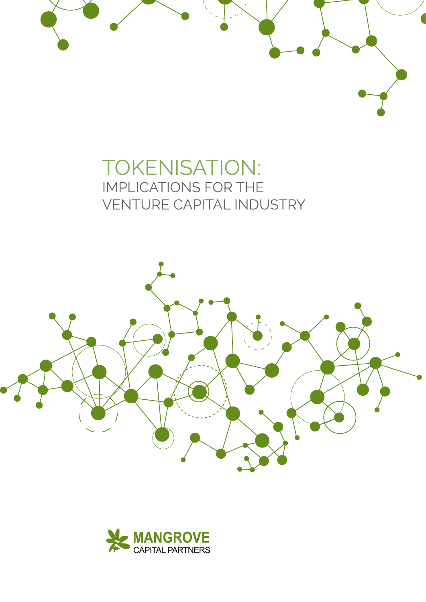# TOKENISATION: IMPLICATIONS FOR THE VENTURE CAPITAL INDUSTRY



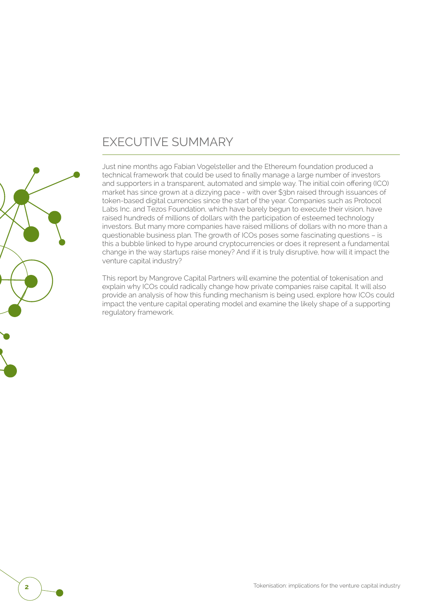### EXECUTIVE SUMMARY

Just nine months ago Fabian Vogelsteller and the Ethereum foundation produced a technical framework that could be used to finally manage a large number of investors and supporters in a transparent, automated and simple way. The initial coin offering (ICO) market has since grown at a dizzying pace - with over \$3bn raised through issuances of token-based digital currencies since the start of the year. Companies such as Protocol Labs Inc. and Tezos Foundation, which have barely begun to execute their vision, have raised hundreds of millions of dollars with the participation of esteemed technology investors. But many more companies have raised millions of dollars with no more than a questionable business plan. The growth of ICOs poses some fascinating questions – is this a bubble linked to hype around cryptocurrencies or does it represent a fundamental change in the way startups raise money? And if it is truly disruptive, how will it impact the venture capital industry?

This report by Mangrove Capital Partners will examine the potential of tokenisation and explain why ICOs could radically change how private companies raise capital. It will also provide an analysis of how this funding mechanism is being used, explore how ICOs could impact the venture capital operating model and examine the likely shape of a supporting regulatory framework.

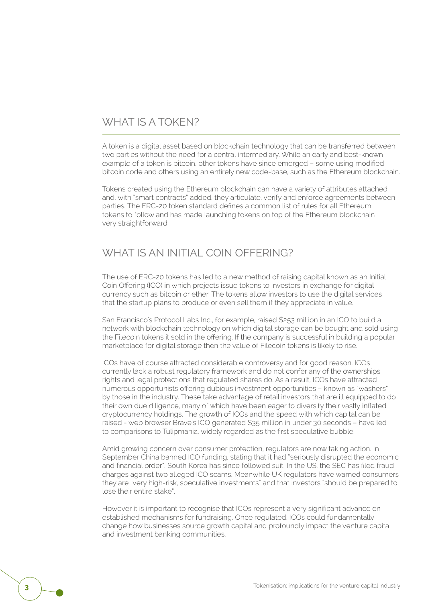#### WHAT IS A TOKEN?

A token is a digital asset based on blockchain technology that can be transferred between two parties without the need for a central intermediary. While an early and best-known example of a token is bitcoin, other tokens have since emerged – some using modified bitcoin code and others using an entirely new code-base, such as the Ethereum blockchain.

Tokens created using the Ethereum blockchain can have a variety of attributes attached and, with "smart contracts" added, they articulate, verify and enforce agreements between parties. The ERC-20 token standard defines a common list of rules for all Ethereum tokens to follow and has made launching tokens on top of the Ethereum blockchain very straightforward.

#### WHAT IS AN INITIAL COIN OFFERING?

The use of ERC-20 tokens has led to a new method of raising capital known as an Initial Coin Offering (ICO) in which projects issue tokens to investors in exchange for digital currency such as bitcoin or ether. The tokens allow investors to use the digital services that the startup plans to produce or even sell them if they appreciate in value.

San Francisco's Protocol Labs Inc., for example, raised \$253 million in an ICO to build a network with blockchain technology on which digital storage can be bought and sold using the Filecoin tokens it sold in the offering. If the company is successful in building a popular marketplace for digital storage then the value of Filecoin tokens is likely to rise.

ICOs have of course attracted considerable controversy and for good reason. ICOs currently lack a robust regulatory framework and do not confer any of the ownerships rights and legal protections that regulated shares do. As a result, ICOs have attracted numerous opportunists offering dubious investment opportunities – known as "washers" by those in the industry. These take advantage of retail investors that are ill equipped to do their own due diligence, many of which have been eager to diversify their vastly inflated cryptocurrency holdings. The growth of ICOs and the speed with which capital can be raised - web browser Brave's ICO generated \$35 million in under 30 seconds – have led to comparisons to Tulipmania, widely regarded as the first speculative bubble.

Amid growing concern over consumer protection, regulators are now taking action. In September China banned ICO funding, stating that it had "seriously disrupted the economic and financial order". South Korea has since followed suit. In the US, the SEC has filed fraud charges against two alleged ICO scams. Meanwhile UK regulators have warned consumers they are "very high-risk, speculative investments" and that investors "should be prepared to lose their entire stake".

However it is important to recognise that ICOs represent a very significant advance on established mechanisms for fundraising. Once regulated, ICOs could fundamentally change how businesses source growth capital and profoundly impact the venture capital and investment banking communities.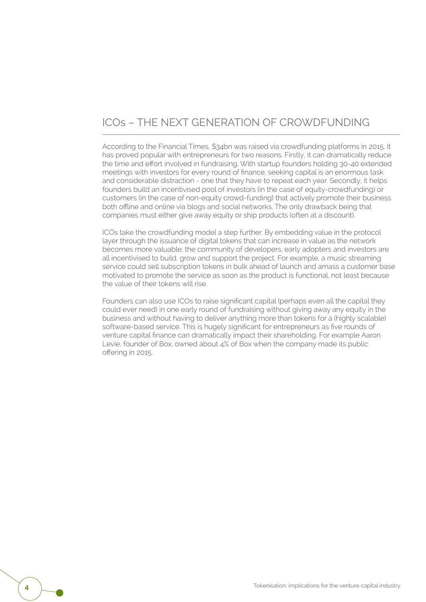#### ICOs – THE NEXT GENERATION OF CROWDFUNDING

According to the Financial Times, \$34bn was raised via crowdfunding platforms in 2015. It has proved popular with entrepreneurs for two reasons. Firstly, it can dramatically reduce the time and effort involved in fundraising. With startup founders holding 30-40 extended meetings with investors for every round of finance, seeking capital is an enormous task and considerable distraction - one that they have to repeat each year. Secondly, it helps founders build an incentivised pool of investors (in the case of equity-crowdfunding) or customers (in the case of non-equity crowd-funding) that actively promote their business both offline and online via blogs and social networks. The only drawback being that companies must either give away equity or ship products (often at a discount).

ICOs take the crowdfunding model a step further. By embedding value in the protocol layer through the issuance of digital tokens that can increase in value as the network becomes more valuable, the community of developers, early adopters and investors are all incentivised to build, grow and support the project. For example, a music streaming service could sell subscription tokens in bulk ahead of launch and amass a customer base motivated to promote the service as soon as the product is functional, not least because the value of their tokens will rise.

Founders can also use ICOs to raise significant capital (perhaps even all the capital they could ever need) in one early round of fundraising without giving away any equity in the business and without having to deliver anything more than tokens for a (highly scalable) software-based service. This is hugely significant for entrepreneurs as five rounds of venture capital finance can dramatically impact their shareholding. For example Aaron Levie, founder of Box, owned about 4% of Box when the company made its public offering in 2015.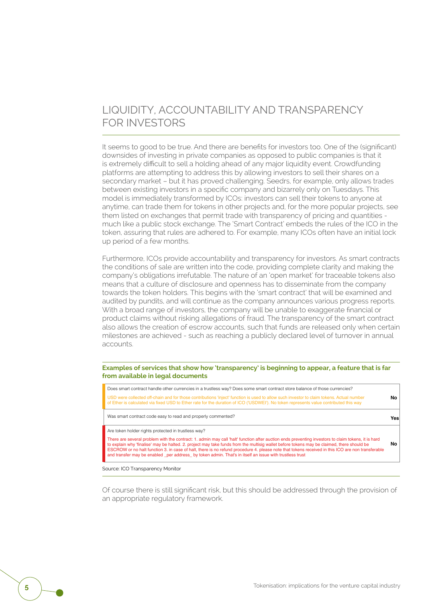#### LIQUIDITY, ACCOUNTABILITY AND TRANSPARENCY FOR INVESTORS

It seems to good to be true. And there are benefits for investors too. One of the (significant) downsides of investing in private companies as opposed to public companies is that it is extremely difficult to sell a holding ahead of any major liquidity event. Crowdfunding platforms are attempting to address this by allowing investors to sell their shares on a secondary market – but it has proved challenging. Seedrs, for example, only allows trades between existing investors in a specific company and bizarrely only on Tuesdays. This model is immediately transformed by ICOs: investors can sell their tokens to anyone at anytime, can trade them for tokens in other projects and, for the more popular projects, see them listed on exchanges that permit trade with transparency of pricing and quantities much like a public stock exchange. The 'Smart Contract' embeds the rules of the ICO in the token, assuring that rules are adhered to. For example, many ICOs often have an initial lock up period of a few months.

Furthermore, ICOs provide accountability and transparency for investors. As smart contracts the conditions of sale are written into the code, providing complete clarity and making the company's obligations irrefutable. The nature of an 'open market' for traceable tokens also means that a culture of disclosure and openness has to disseminate from the company towards the token holders. This begins with the 'smart contract' that will be examined and audited by pundits, and will continue as the company announces various progress reports. With a broad range of investors, the company will be unable to exaggerate financial or product claims without risking allegations of fraud. The transparency of the smart contract also allows the creation of escrow accounts, such that funds are released only when certain milestones are achieved - such as reaching a publicly declared level of turnover in annual accounts.

#### **Examples of services that show how 'transparency' is beginning to appear, a feature that is far from available in legal documents**

| No. |
|-----|
| Yes |
|     |
| No  |
|     |

Source: ICO Transparency Monitor

Of course there is still significant risk, but this should be addressed through the provision of an appropriate regulatory framework.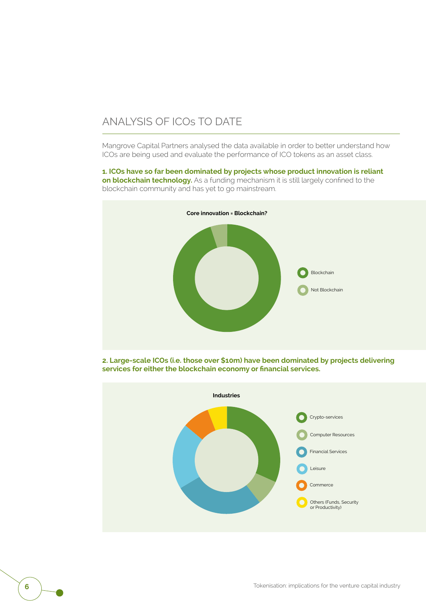#### ANALYSIS OF ICOs TO DATE

Mangrove Capital Partners analysed the data available in order to better understand how ICOs are being used and evaluate the performance of ICO tokens as an asset class.

**1. ICOs have so far been dominated by projects whose product innovation is reliant on blockchain technology.** As a funding mechanism it is still largely confined to the blockchain community and has yet to go mainstream.



**2. Large-scale ICOs (i.e. those over \$10m) have been dominated by projects delivering services for either the blockchain economy or financial services.**

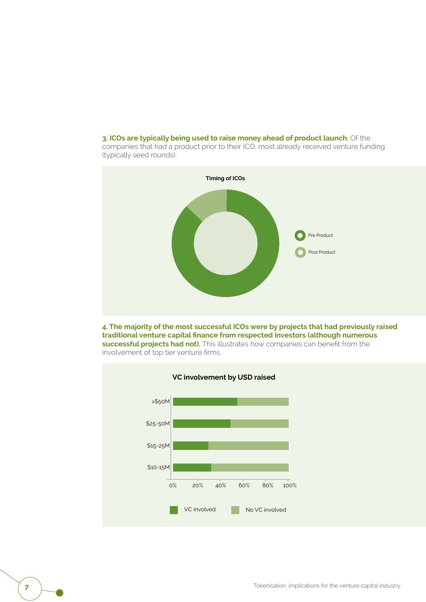**3. ICOs are typically being used to raise money ahead of product launch.** Of the

companies that had a product prior to their ICO, most already received venture funding (typically seed rounds).



**4. The majority of the most successful ICOs were by projects that had previously raised traditional venture capital finance from respected investors (although numerous successful projects had not).** This illustrates how companies can benefit from the involvement of top tier venture firms.



**7 T**okenisation: implications for the venture capital industry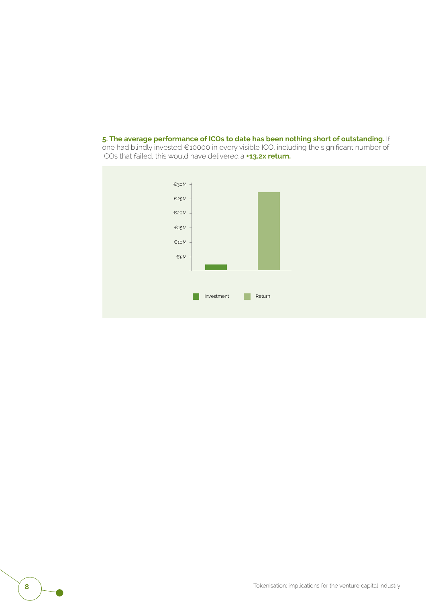**5. The average performance of ICOs to date has been nothing short of outstanding.** If one had blindly invested €10000 in every visible ICO, including the significant number of ICOs that failed, this would have delivered a **+13.2x return.**

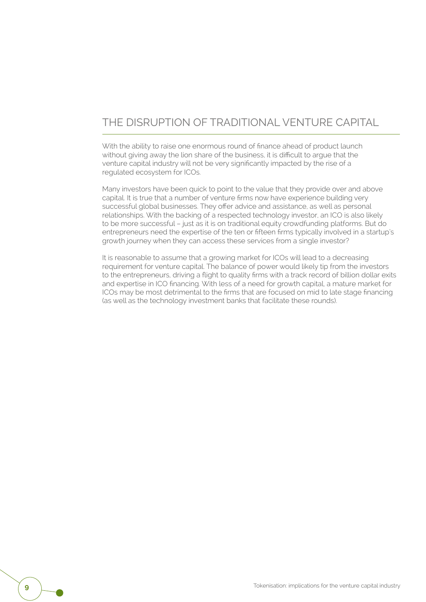### THE DISRUPTION OF TRADITIONAL VENTURE CAPITAL

With the ability to raise one enormous round of finance ahead of product launch without giving away the lion share of the business, it is difficult to argue that the venture capital industry will not be very significantly impacted by the rise of a regulated ecosystem for ICOs.

Many investors have been quick to point to the value that they provide over and above capital. It is true that a number of venture firms now have experience building very successful global businesses. They offer advice and assistance, as well as personal relationships. With the backing of a respected technology investor, an ICO is also likely to be more successful – just as it is on traditional equity crowdfunding platforms. But do entrepreneurs need the expertise of the ten or fifteen firms typically involved in a startup's growth journey when they can access these services from a single investor?

It is reasonable to assume that a growing market for ICOs will lead to a decreasing requirement for venture capital. The balance of power would likely tip from the investors to the entrepreneurs, driving a flight to quality firms with a track record of billion dollar exits and expertise in ICO financing. With less of a need for growth capital, a mature market for ICOs may be most detrimental to the firms that are focused on mid to late stage financing (as well as the technology investment banks that facilitate these rounds).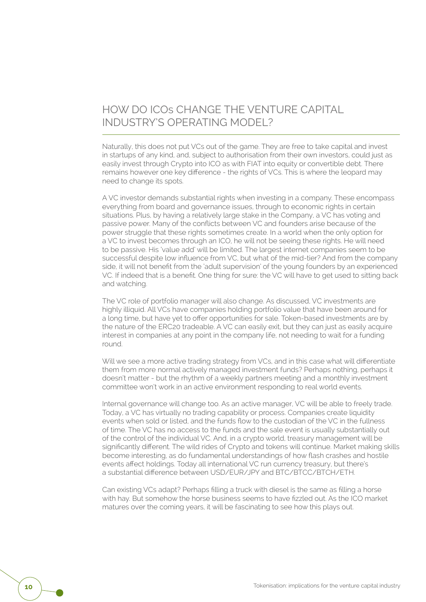#### HOW DO ICOs CHANGE THE VENTURE CAPITAL INDUSTRY'S OPERATING MODEL?

Naturally, this does not put VCs out of the game. They are free to take capital and invest in startups of any kind, and, subject to authorisation from their own investors, could just as easily invest through Crypto into ICO as with FIAT into equity or convertible debt. There remains however one key difference - the rights of VCs. This is where the leopard may need to change its spots.

A VC investor demands substantial rights when investing in a company. These encompass everything from board and governance issues, through to economic rights in certain situations. Plus, by having a relatively large stake in the Company, a VC has voting and passive power. Many of the conflicts between VC and founders arise because of the power struggle that these rights sometimes create. In a world when the only option for a VC to invest becomes through an ICO, he will not be seeing these rights. He will need to be passive. His 'value add' will be limited. The largest internet companies seem to be successful despite low influence from VC, but what of the mid-tier? And from the company side, it will not benefit from the 'adult supervision' of the young founders by an experienced VC. If indeed that is a benefit. One thing for sure: the VC will have to get used to sitting back and watching.

The VC role of portfolio manager will also change. As discussed, VC investments are highly illiquid. All VCs have companies holding portfolio value that have been around for a long time, but have yet to offer opportunities for sale. Token-based investments are by the nature of the ERC20 tradeable. A VC can easily exit, but they can just as easily acquire interest in companies at any point in the company life, not needing to wait for a funding round.

Will we see a more active trading strategy from VCs, and in this case what will differentiate them from more normal actively managed investment funds? Perhaps nothing, perhaps it doesn't matter - but the rhythm of a weekly partners meeting and a monthly investment committee won't work in an active environment responding to real world events.

Internal governance will change too. As an active manager, VC will be able to freely trade. Today, a VC has virtually no trading capability or process. Companies create liquidity events when sold or listed, and the funds flow to the custodian of the VC in the fullness of time. The VC has no access to the funds and the sale event is usually substantially out of the control of the individual VC. And, in a crypto world, treasury management will be significantly different. The wild rides of Crypto and tokens will continue. Market making skills become interesting, as do fundamental understandings of how flash crashes and hostile events affect holdings. Today all international VC run currency treasury, but there's a substantial difference between USD/EUR/JPY and BTC/BTCC/BTCH/ETH.

Can existing VCs adapt? Perhaps filling a truck with diesel is the same as filling a horse with hay. But somehow the horse business seems to have fizzled out. As the ICO market matures over the coming years, it will be fascinating to see how this plays out.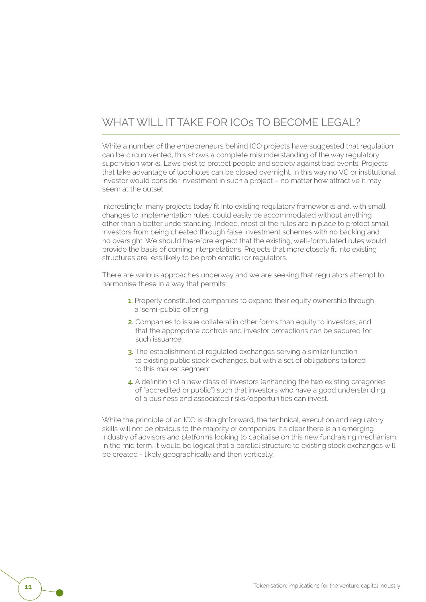#### WHAT WILL IT TAKE FOR ICOS TO BECOME LEGAL?

While a number of the entrepreneurs behind ICO projects have suggested that regulation can be circumvented, this shows a complete misunderstanding of the way regulatory supervision works. Laws exist to protect people and society against bad events. Projects that take advantage of loopholes can be closed overnight. In this way no VC or institutional investor would consider investment in such a project – no matter how attractive it may seem at the outset.

Interestingly, many projects today fit into existing regulatory frameworks and, with small changes to implementation rules, could easily be accommodated without anything other than a better understanding. Indeed, most of the rules are in place to protect small investors from being cheated through false investment schemes with no backing and no oversight. We should therefore expect that the existing, well-formulated rules would provide the basis of coming interpretations. Projects that more closely fit into existing structures are less likely to be problematic for regulators.

There are various approaches underway and we are seeking that regulators attempt to harmonise these in a way that permits:

- **1.** Properly constituted companies to expand their equity ownership through a 'semi-public' offering
- **2.** Companies to issue collateral in other forms than equity to investors, and that the appropriate controls and investor protections can be secured for such issuance
- **3.** The establishment of regulated exchanges serving a similar function to existing public stock exchanges, but with a set of obligations tailored to this market segment
- **4.** A definition of a new class of investors (enhancing the two existing categories of "accredited or public") such that investors who have a good understanding of a business and associated risks/opportunities can invest.

While the principle of an ICO is straightforward, the technical, execution and regulatory skills will not be obvious to the majority of companies. It's clear there is an emerging industry of advisors and platforms looking to capitalise on this new fundraising mechanism. In the mid term, it would be logical that a parallel structure to existing stock exchanges will be created - likely geographically and then vertically.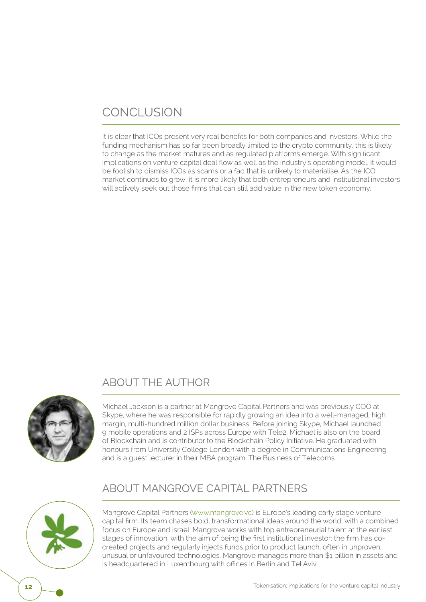## CONCLUSION

It is clear that ICOs present very real benefits for both companies and investors. While the funding mechanism has so far been broadly limited to the crypto community, this is likely to change as the market matures and as regulated platforms emerge. With significant implications on venture capital deal flow as well as the industry's operating model, it would be foolish to dismiss ICOs as scams or a fad that is unlikely to materialise. As the ICO market continues to grow, it is more likely that both entrepreneurs and institutional investors will actively seek out those firms that can still add value in the new token economy.

#### ABOUT THE AUTHOR



Michael Jackson is a partner at Mangrove Capital Partners and was previously COO at Skype, where he was responsible for rapidly growing an idea into a well-managed, high margin, multi-hundred million dollar business. Before joining Skype, Michael launched 9 mobile operations and 2 ISPs across Europe with Tele2. Michael is also on the board of Blockchain and is contributor to the Blockchain Policy Initiative. He graduated with honours from University College London with a degree in Communications Engineering and is a guest lecturer in their MBA program: The Business of Telecoms.

#### ABOUT MANGROVE CAPITAL PARTNERS



Mangrove Capital Partners (www.mangrove.vc) is Europe's leading early stage venture capital firm. Its team chases bold, transformational ideas around the world, with a combined focus on Europe and Israel. Mangrove works with top entrepreneurial talent at the earliest stages of innovation, with the aim of being the first institutional investor: the firm has cocreated projects and regularly injects funds prior to product launch, often in unproven, unusual or unfavoured technologies. Mangrove manages more than \$1 billion in assets and is headquartered in Luxembourg with offices in Berlin and Tel Aviv.